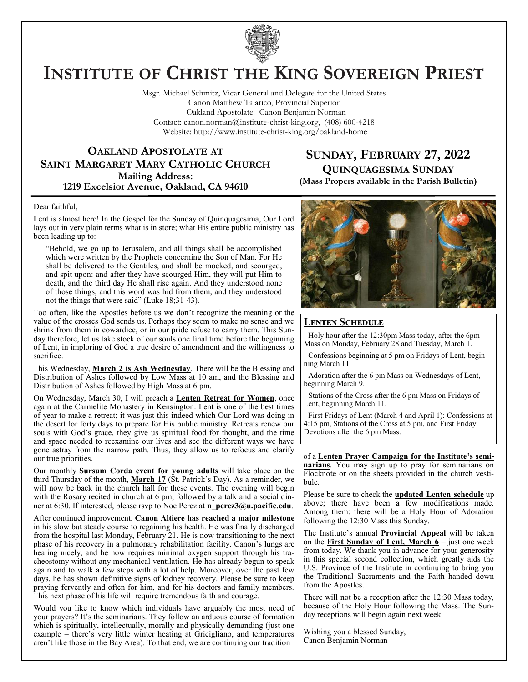

# **INSTITUTE OF CHRIST THE KING SOVEREIGN PRIEST**

Msgr. Michael Schmitz, Vicar General and Delegate for the United States Canon Matthew Talarico, Provincial Superior Oakland Apostolate: Canon Benjamin Norman Contact: canon.norman@institute-christ-king.org, (408) 600-4218 Website: http://www.institute-christ-king.org/oakland-home

# **OAKLAND APOSTOLATE AT SAINT MARGARET MARY CATHOLIC CHURCH Mailing Address: 1219 Excelsior Avenue, Oakland, CA 94610**

# **SUNDAY, FEBRUARY 27, 2022 QUINQUAGESIMA SUNDAY**

**(Mass Propers available in the Parish Bulletin)**

#### Dear faithful,

Lent is almost here! In the Gospel for the Sunday of Quinquagesima, Our Lord lays out in very plain terms what is in store; what His entire public ministry has been leading up to:

"Behold, we go up to Jerusalem, and all things shall be accomplished which were written by the Prophets concerning the Son of Man. For He shall be delivered to the Gentiles, and shall be mocked, and scourged, and spit upon: and after they have scourged Him, they will put Him to death, and the third day He shall rise again. And they understood none of those things, and this word was hid from them, and they understood not the things that were said" (Luke 18;31-43).

Too often, like the Apostles before us we don't recognize the meaning or the value of the crosses God sends us. Perhaps they seem to make no sense and we shrink from them in cowardice, or in our pride refuse to carry them. This Sunday therefore, let us take stock of our souls one final time before the beginning of Lent, in imploring of God a true desire of amendment and the willingness to sacrifice.

This Wednesday, **March 2 is Ash Wednesday**. There will be the Blessing and Distribution of Ashes followed by Low Mass at 10 am, and the Blessing and Distribution of Ashes followed by High Mass at 6 pm.

On Wednesday, March 30, I will preach a **Lenten Retreat for Women**, once again at the Carmelite Monastery in Kensington. Lent is one of the best times of year to make a retreat; it was just this indeed which Our Lord was doing in the desert for forty days to prepare for His public ministry. Retreats renew our souls with God's grace, they give us spiritual food for thought, and the time and space needed to reexamine our lives and see the different ways we have gone astray from the narrow path. Thus, they allow us to refocus and clarify our true priorities.

Our monthly **Sursum Corda event for young adults** will take place on the third Thursday of the month, **March 17** (St. Patrick's Day). As a reminder, we will now be back in the church hall for these events. The evening will begin with the Rosary recited in church at 6 pm, followed by a talk and a social dinner at 6:30. If interested, please rsvp to Noe Perez at **[n\\_perez3@u.pacific.edu](mailto:n_perez3@u.pacific.edu)**.

After continued improvement, **Canon Altiere has reached a major milestone** in his slow but steady course to regaining his health. He was finally discharged from the hospital last Monday, February 21. He is now transitioning to the next phase of his recovery in a pulmonary rehabilitation facility. Canon's lungs are healing nicely, and he now requires minimal oxygen support through his tracheostomy without any mechanical ventilation. He has already begun to speak again and to walk a few steps with a lot of help. Moreover, over the past few days, he has shown definitive signs of kidney recovery. Please be sure to keep praying fervently and often for him, and for his doctors and family members. This next phase of his life will require tremendous faith and courage.

Would you like to know which individuals have arguably the most need of your prayers? It's the seminarians. They follow an arduous course of formation which is spiritually, intellectually, morally and physically demanding (just one example – there's very little winter heating at Gricigliano, and temperatures aren't like those in the Bay Area). To that end, we are continuing our tradition



#### **Lenten Schedule**

- Holy hour after the 12:30pm Mass today, after the 6pm Mass on Monday, February 28 and Tuesday, March 1.

- Confessions beginning at 5 pm on Fridays of Lent, beginning March 11

- Adoration after the 6 pm Mass on Wednesdays of Lent, beginning March 9.

- Stations of the Cross after the 6 pm Mass on Fridays of Lent, beginning March 11.

- First Fridays of Lent (March 4 and April 1): Confessions at 4:15 pm, Stations of the Cross at 5 pm, and First Friday Devotions after the 6 pm Mass.

of a **Lenten Prayer Campaign for the Institute's seminarians**. You may sign up to pray for seminarians on Flocknote or on the sheets provided in the church vestibule.

Please be sure to check the **updated Lenten schedule** up above; there have been a few modifications made. Among them: there will be a Holy Hour of Adoration following the 12:30 Mass this Sunday.

The Institute's annual **Provincial Appeal** will be taken on the **First Sunday of Lent, March 6** – just one week from today. We thank you in advance for your generosity in this special second collection, which greatly aids the U.S. Province of the Institute in continuing to bring you the Traditional Sacraments and the Faith handed down from the Apostles.

There will not be a reception after the 12:30 Mass today, because of the Holy Hour following the Mass. The Sunday receptions will begin again next week.

Wishing you a blessed Sunday, Canon Benjamin Norman